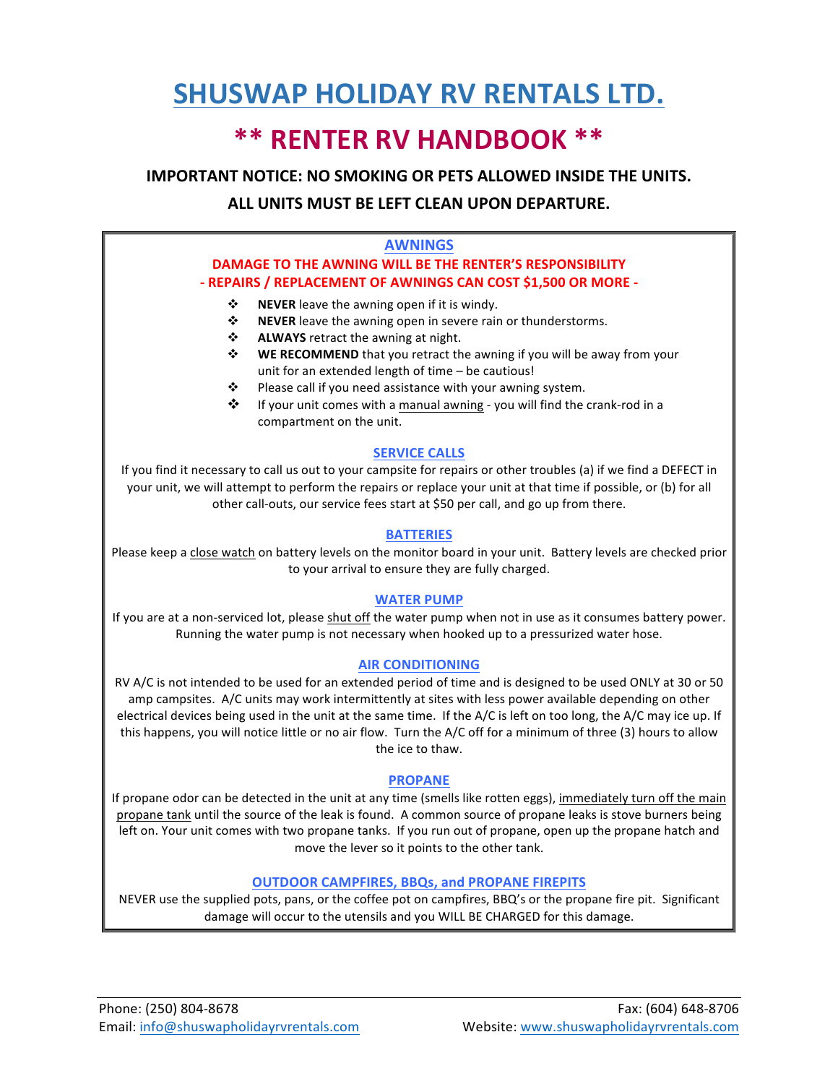# **SHUSWAP HOLIDAY RV RENTALS LTD.**

## **\*\* RENTER RV HANDBOOK \*\***

**IMPORTANT NOTICE: NO SMOKING OR PETS ALLOWED INSIDE THE UNITS.** 

#### **ALL UNITS MUST BE LEFT CLEAN UPON DEPARTURE.**

#### **AWNINGS**

#### **DAMAGE TO THE AWNING WILL BE THE RENTER'S RESPONSIBILITY - REPAIRS / REPLACEMENT OF AWNINGS CAN COST \$1,500 OR MORE -**

- **❖** NEVER leave the awning open if it is windy.
- **❖** NEVER leave the awning open in severe rain or thunderstorms.
- **\*** ALWAYS retract the awning at night.
- **<b>WE RECOMMEND** that you retract the awning if you will be away from your unit for an extended length of time  $-$  be cautious!
- $\cdot \cdot$  Please call if you need assistance with your awning system.
- $\cdot \cdot$  If your unit comes with a manual awning you will find the crank-rod in a compartment on the unit.

#### **SERVICE CALLS**

If you find it necessary to call us out to your campsite for repairs or other troubles (a) if we find a DEFECT in your unit, we will attempt to perform the repairs or replace your unit at that time if possible, or (b) for all other call-outs, our service fees start at \$50 per call, and go up from there.

#### **BATTERIES**

Please keep a close watch on battery levels on the monitor board in your unit. Battery levels are checked prior to your arrival to ensure they are fully charged.

#### **WATER PUMP**

If you are at a non-serviced lot, please shut off the water pump when not in use as it consumes battery power. Running the water pump is not necessary when hooked up to a pressurized water hose.

#### **AIR CONDITIONING**

RV A/C is not intended to be used for an extended period of time and is designed to be used ONLY at 30 or 50 amp campsites. A/C units may work intermittently at sites with less power available depending on other electrical devices being used in the unit at the same time. If the A/C is left on too long, the A/C may ice up. If this happens, you will notice little or no air flow. Turn the  $A/C$  off for a minimum of three (3) hours to allow the ice to thaw.

#### **PROPANE**

If propane odor can be detected in the unit at any time (smells like rotten eggs), immediately turn off the main propane tank until the source of the leak is found. A common source of propane leaks is stove burners being left on. Your unit comes with two propane tanks. If you run out of propane, open up the propane hatch and move the lever so it points to the other tank.

#### **OUTDOOR CAMPFIRES, BBQs, and PROPANE FIREPITS**

NEVER use the supplied pots, pans, or the coffee pot on campfires, BBQ's or the propane fire pit. Significant damage will occur to the utensils and you WILL BE CHARGED for this damage.